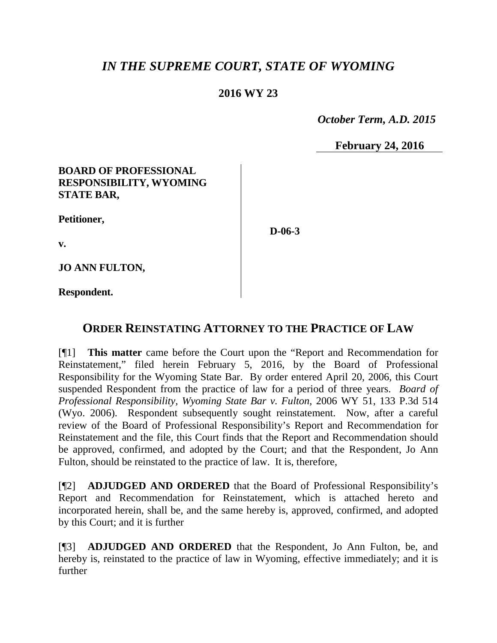# *IN THE SUPREME COURT, STATE OF WYOMING*

## **2016 WY 23**

 *October Term, A.D. 2015*

**February 24, 2016**

### **BOARD OF PROFESSIONAL RESPONSIBILITY, WYOMING STATE BAR,**

**Petitioner,**

**D-06-3**

**v.**

**JO ANN FULTON,**

**Respondent.**

## **ORDER REINSTATING ATTORNEY TO THE PRACTICE OF LAW**

[¶1] **This matter** came before the Court upon the "Report and Recommendation for Reinstatement," filed herein February 5, 2016, by the Board of Professional Responsibility for the Wyoming State Bar. By order entered April 20, 2006, this Court suspended Respondent from the practice of law for a period of three years. *Board of Professional Responsibility, Wyoming State Bar v. Fulton*, 2006 WY 51, 133 P.3d 514 (Wyo. 2006). Respondent subsequently sought reinstatement. Now, after a careful review of the Board of Professional Responsibility's Report and Recommendation for Reinstatement and the file, this Court finds that the Report and Recommendation should be approved, confirmed, and adopted by the Court; and that the Respondent, Jo Ann Fulton, should be reinstated to the practice of law. It is, therefore,

[¶2] **ADJUDGED AND ORDERED** that the Board of Professional Responsibility's Report and Recommendation for Reinstatement, which is attached hereto and incorporated herein, shall be, and the same hereby is, approved, confirmed, and adopted by this Court; and it is further

[¶3] **ADJUDGED AND ORDERED** that the Respondent, Jo Ann Fulton, be, and hereby is, reinstated to the practice of law in Wyoming, effective immediately; and it is further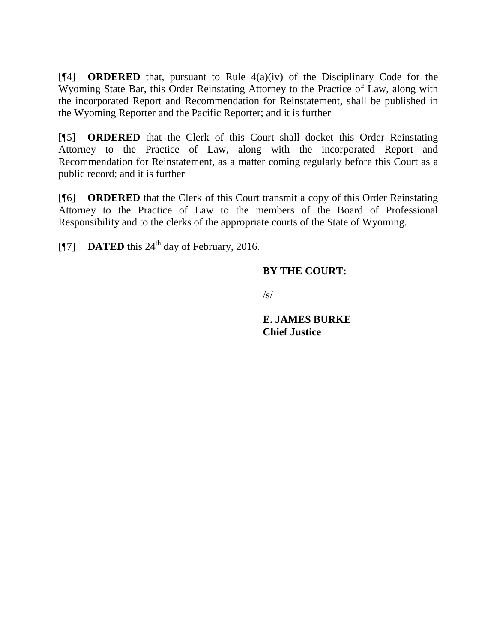[¶4] **ORDERED** that, pursuant to Rule 4(a)(iv) of the Disciplinary Code for the Wyoming State Bar, this Order Reinstating Attorney to the Practice of Law, along with the incorporated Report and Recommendation for Reinstatement, shall be published in the Wyoming Reporter and the Pacific Reporter; and it is further

[¶5] **ORDERED** that the Clerk of this Court shall docket this Order Reinstating Attorney to the Practice of Law, along with the incorporated Report and Recommendation for Reinstatement, as a matter coming regularly before this Court as a public record; and it is further

[¶6] **ORDERED** that the Clerk of this Court transmit a copy of this Order Reinstating Attorney to the Practice of Law to the members of the Board of Professional Responsibility and to the clerks of the appropriate courts of the State of Wyoming.

[ $\degree$ [7] **DATED** this 24<sup>th</sup> day of February, 2016.

## **BY THE COURT:**

 $\sqrt{s/}$ 

**E. JAMES BURKE Chief Justice**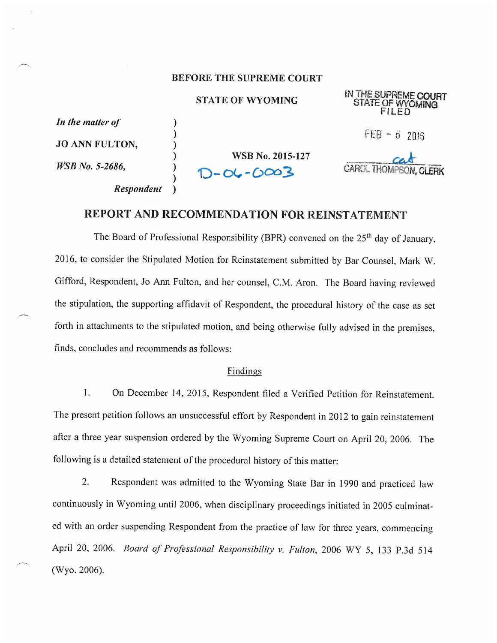#### **BEFORE THE SUPREME COURT**

#### **STATE OF WYOMING**

In the matter of **JO ANN FULTON.** 

**Respondent** 

 $\lambda$ 

 $\lambda$ 

 $\mathcal{E}$ 

WSB No. 5-2686.

**WSB No. 2015-127**  $-06 - 0003$ 

IN THE SUPREME COURT STATE OF WYOMING

 $FEB - 52016$ 

**CAROL THOMP** 

## REPORT AND RECOMMENDATION FOR REINSTATEMENT

The Board of Professional Responsibility (BPR) convened on the 25<sup>th</sup> day of January, 2016, to consider the Stipulated Motion for Reinstatement submitted by Bar Counsel, Mark W. Gifford, Respondent, Jo Ann Fulton, and her counsel, C.M. Aron. The Board having reviewed the stipulation, the supporting affidavit of Respondent, the procedural history of the case as set forth in attachments to the stipulated motion, and being otherwise fully advised in the premises, finds, concludes and recommends as follows:

#### Findings

 $1.$ On December 14, 2015, Respondent filed a Verified Petition for Reinstatement. The present petition follows an unsuccessful effort by Respondent in 2012 to gain reinstatement after a three year suspension ordered by the Wyoming Supreme Court on April 20, 2006. The following is a detailed statement of the procedural history of this matter:

2. Respondent was admitted to the Wyoming State Bar in 1990 and practiced law continuously in Wyoming until 2006, when disciplinary proceedings initiated in 2005 culminated with an order suspending Respondent from the practice of law for three years, commencing April 20, 2006. Board of Professional Responsibility v. Fulton, 2006 WY 5, 133 P.3d 514 (Wyo. 2006).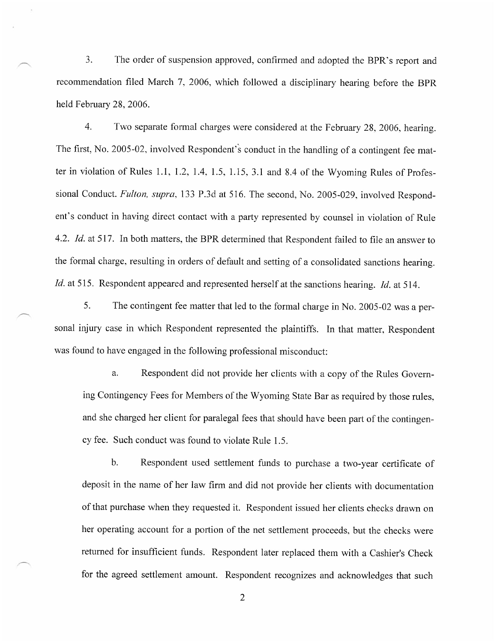$\overline{3}$ . The order of suspension approved, confirmed and adopted the BPR's report and recommendation filed March 7, 2006, which followed a disciplinary hearing before the BPR held February 28, 2006.

 $\overline{4}$ . Two separate formal charges were considered at the February 28, 2006, hearing. The first, No. 2005-02, involved Respondent's conduct in the handling of a contingent fee matter in violation of Rules 1.1, 1.2, 1.4, 1.5, 1.15, 3.1 and 8.4 of the Wyoming Rules of Professional Conduct. Fulton, supra, 133 P.3d at 516. The second, No. 2005-029, involved Respondent's conduct in having direct contact with a party represented by counsel in violation of Rule 4.2. Id. at 517. In both matters, the BPR determined that Respondent failed to file an answer to the formal charge, resulting in orders of default and setting of a consolidated sanctions hearing. Id. at 515. Respondent appeared and represented herself at the sanctions hearing. Id. at 514.

5. The contingent fee matter that led to the formal charge in No. 2005-02 was a personal injury case in which Respondent represented the plaintiffs. In that matter, Respondent was found to have engaged in the following professional misconduct:

Respondent did not provide her clients with a copy of the Rules Governa. ing Contingency Fees for Members of the Wyoming State Bar as required by those rules, and she charged her client for paralegal fees that should have been part of the contingency fee. Such conduct was found to violate Rule 1.5.

 $<sub>b</sub>$ .</sub> Respondent used settlement funds to purchase a two-year certificate of deposit in the name of her law firm and did not provide her clients with documentation of that purchase when they requested it. Respondent issued her clients checks drawn on her operating account for a portion of the net settlement proceeds, but the checks were returned for insufficient funds. Respondent later replaced them with a Cashier's Check for the agreed settlement amount. Respondent recognizes and acknowledges that such

 $\overline{2}$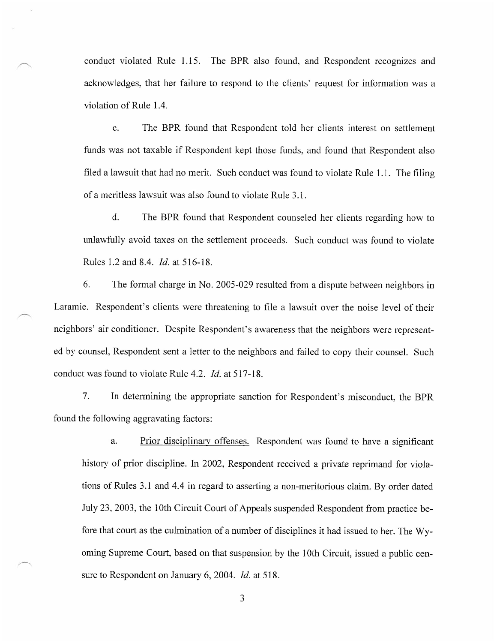conduct violated Rule 1.15. The BPR also found, and Respondent recognizes and acknowledges, that her failure to respond to the clients' request for information was a violation of Rule 1.4.

 $\mathbf{c}$ . The BPR found that Respondent told her clients interest on settlement funds was not taxable if Respondent kept those funds, and found that Respondent also filed a lawsuit that had no merit. Such conduct was found to violate Rule 1.1. The filing of a meritless lawsuit was also found to violate Rule 3.1.

 $\mathbf{d}$ . The BPR found that Respondent counseled her clients regarding how to unlawfully avoid taxes on the settlement proceeds. Such conduct was found to violate Rules 1.2 and 8.4. *Id.* at 516-18.

6. The formal charge in No. 2005-029 resulted from a dispute between neighbors in Laramie. Respondent's clients were threatening to file a lawsuit over the noise level of their neighbors' air conditioner. Despite Respondent's awareness that the neighbors were represented by counsel, Respondent sent a letter to the neighbors and failed to copy their counsel. Such conduct was found to violate Rule 4.2. *Id.* at 517-18.

7. In determining the appropriate sanction for Respondent's misconduct, the BPR found the following aggravating factors:

Prior disciplinary offenses. Respondent was found to have a significant a. history of prior discipline. In 2002, Respondent received a private reprimand for violations of Rules 3.1 and 4.4 in regard to asserting a non-meritorious claim. By order dated July 23, 2003, the 10th Circuit Court of Appeals suspended Respondent from practice before that court as the culmination of a number of disciplines it had issued to her. The Wyoming Supreme Court, based on that suspension by the 10th Circuit, issued a public censure to Respondent on January 6, 2004. Id. at 518.

 $\mathfrak{Z}$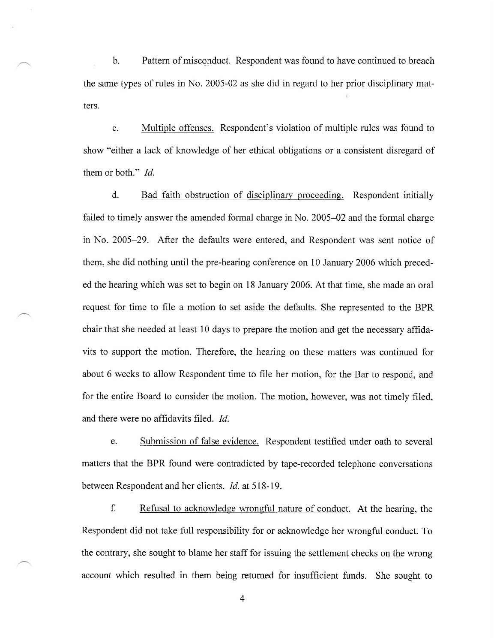$<sub>b</sub>$ </sub> Pattern of misconduct. Respondent was found to have continued to breach the same types of rules in No. 2005-02 as she did in regard to her prior disciplinary matters.

Multiple offenses. Respondent's violation of multiple rules was found to  $\mathbf{c}$ . show "either a lack of knowledge of her ethical obligations or a consistent disregard of them or both." Id.

d. Bad faith obstruction of disciplinary proceeding. Respondent initially failed to timely answer the amended formal charge in No. 2005–02 and the formal charge in No. 2005–29. After the defaults were entered, and Respondent was sent notice of them, she did nothing until the pre-hearing conference on 10 January 2006 which preceded the hearing which was set to begin on 18 January 2006. At that time, she made an oral request for time to file a motion to set aside the defaults. She represented to the BPR chair that she needed at least 10 days to prepare the motion and get the necessary affidavits to support the motion. Therefore, the hearing on these matters was continued for about 6 weeks to allow Respondent time to file her motion, for the Bar to respond, and for the entire Board to consider the motion. The motion, however, was not timely filed, and there were no affidavits filed. Id.

Submission of false evidence. Respondent testified under oath to several e. matters that the BPR found were contradicted by tape-recorded telephone conversations between Respondent and her clients. *Id.* at 518-19.

 $f$ . Refusal to acknowledge wrongful nature of conduct. At the hearing, the Respondent did not take full responsibility for or acknowledge her wrongful conduct. To the contrary, she sought to blame her staff for issuing the settlement checks on the wrong account which resulted in them being returned for insufficient funds. She sought to

 $\overline{4}$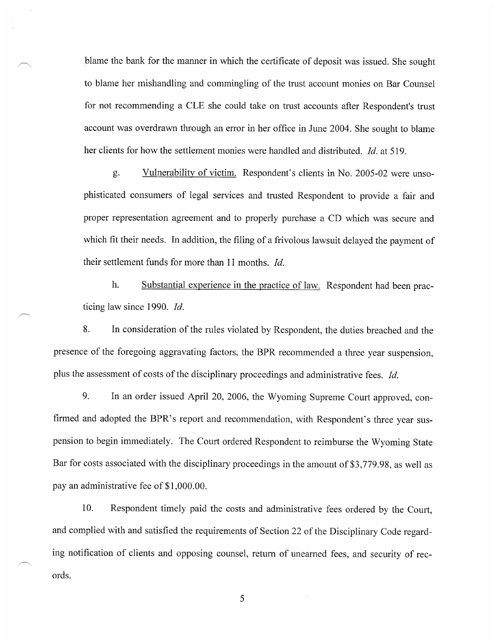blame the bank for the manner in which the certificate of deposit was issued. She sought to blame her mishandling and commingling of the trust account monies on Bar Counsel for not recommending a CLE she could take on trust accounts after Respondent's trust account was overdrawn through an error in her office in June 2004. She sought to blame her clients for how the settlement monies were handled and distributed. *Id.* at 519.

Vulnerability of victim. Respondent's clients in No. 2005-02 were unso- $\mathfrak{g}.$ phisticated consumers of legal services and trusted Respondent to provide a fair and proper representation agreement and to properly purchase a CD which was secure and which fit their needs. In addition, the filing of a frivolous lawsuit delayed the payment of their settlement funds for more than 11 months. Id.

h. Substantial experience in the practice of law. Respondent had been practicing law since 1990. Id.

8. In consideration of the rules violated by Respondent, the duties breached and the presence of the foregoing aggravating factors, the BPR recommended a three year suspension, plus the assessment of costs of the disciplinary proceedings and administrative fees. *Id.* 

9. In an order issued April 20, 2006, the Wyoming Supreme Court approved, confirmed and adopted the BPR's report and recommendation, with Respondent's three year suspension to begin immediately. The Court ordered Respondent to reimburse the Wyoming State Bar for costs associated with the disciplinary proceedings in the amount of \$3,779.98, as well as pay an administrative fee of \$1,000.00.

Respondent timely paid the costs and administrative fees ordered by the Court, 10. and complied with and satisfied the requirements of Section 22 of the Disciplinary Code regarding notification of clients and opposing counsel, return of unearned fees, and security of records.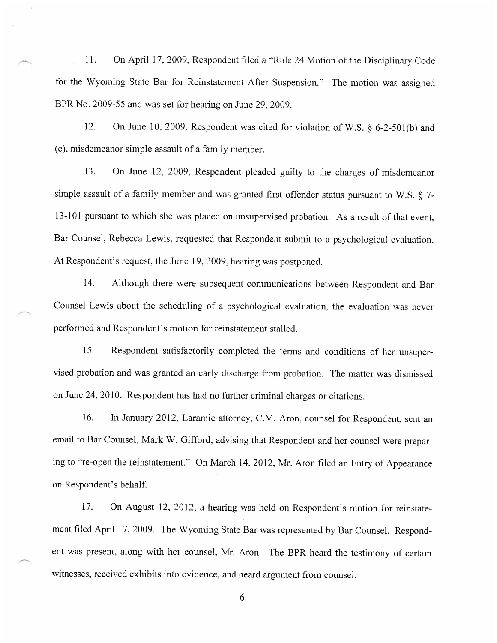On April 17, 2009, Respondent filed a "Rule 24 Motion of the Disciplinary Code  $11.$ for the Wyoming State Bar for Reinstatement After Suspension." The motion was assigned BPR No. 2009-55 and was set for hearing on June 29, 2009.

12. On June 10, 2009, Respondent was cited for violation of W.S.  $\delta$  6-2-501(b) and (e), misdemeanor simple assault of a family member.

13. On June 12, 2009, Respondent pleaded guilty to the charges of misdemeanor simple assault of a family member and was granted first offender status pursuant to W.S.  $\S$  7-13-101 pursuant to which she was placed on unsupervised probation. As a result of that event, Bar Counsel, Rebecca Lewis, requested that Respondent submit to a psychological evaluation. At Respondent's request, the June 19, 2009, hearing was postponed.

14. Although there were subsequent communications between Respondent and Bar Counsel Lewis about the scheduling of a psychological evaluation, the evaluation was never performed and Respondent's motion for reinstatement stalled.

15. Respondent satisfactorily completed the terms and conditions of her unsupervised probation and was granted an early discharge from probation. The matter was dismissed on June 24, 2010. Respondent has had no further criminal charges or citations.

16. In January 2012, Laramie attorney, C.M. Aron, counsel for Respondent, sent an email to Bar Counsel, Mark W. Gifford, advising that Respondent and her counsel were preparing to "re-open the reinstatement." On March 14, 2012, Mr. Aron filed an Entry of Appearance on Respondent's behalf.

17. On August 12, 2012, a hearing was held on Respondent's motion for reinstatement filed April 17, 2009. The Wyoming State Bar was represented by Bar Counsel. Respondent was present, along with her counsel, Mr. Aron. The BPR heard the testimony of certain witnesses, received exhibits into evidence, and heard argument from counsel.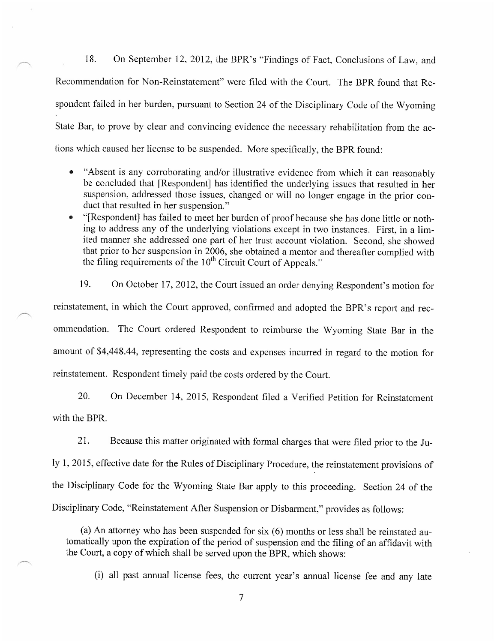18. On September 12, 2012, the BPR's "Findings of Fact, Conclusions of Law, and Recommendation for Non-Reinstatement" were filed with the Court. The BPR found that Respondent failed in her burden, pursuant to Section 24 of the Disciplinary Code of the Wyoming State Bar, to prove by clear and convincing evidence the necessary rehabilitation from the actions which caused her license to be suspended. More specifically, the BPR found:

- "Absent is any corroborating and/or illustrative evidence from which it can reasonably be concluded that [Respondent] has identified the underlying issues that resulted in her suspension, addressed those issues, changed or will no longer engage in the prior conduct that resulted in her suspension."
- "[Respondent] has failed to meet her burden of proof because she has done little or nothing to address any of the underlying violations except in two instances. First, in a limited manner she addressed one part of her trust account violation. Second, she showed that prior to her suspension in 2006, she obtained a mentor and thereafter complied with the filing requirements of the 10<sup>th</sup> Circuit Court of Appeals."
- 19. On October 17, 2012, the Court issued an order denying Respondent's motion for reinstatement, in which the Court approved, confirmed and adopted the BPR's report and recommendation. The Court ordered Respondent to reimburse the Wyoming State Bar in the amount of \$4,448.44, representing the costs and expenses incurred in regard to the motion for reinstatement. Respondent timely paid the costs ordered by the Court.

20. On December 14, 2015, Respondent filed a Verified Petition for Reinstatement with the BPR.

21. Because this matter originated with formal charges that were filed prior to the July 1, 2015, effective date for the Rules of Disciplinary Procedure, the reinstatement provisions of the Disciplinary Code for the Wyoming State Bar apply to this proceeding. Section 24 of the Disciplinary Code, "Reinstatement After Suspension or Disbarment," provides as follows:

(a) An attorney who has been suspended for six (6) months or less shall be reinstated automatically upon the expiration of the period of suspension and the filing of an affidavit with the Court, a copy of which shall be served upon the BPR, which shows:

(i) all past annual license fees, the current year's annual license fee and any late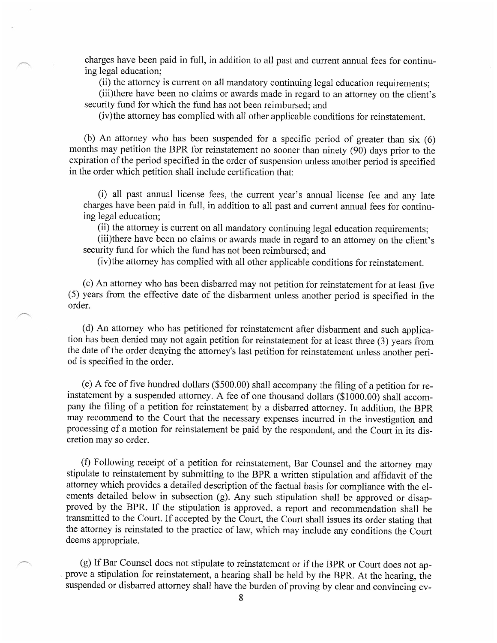charges have been paid in full, in addition to all past and current annual fees for continuing legal education;

(ii) the attorney is current on all mandatory continuing legal education requirements;

(iii)there have been no claims or awards made in regard to an attorney on the client's security fund for which the fund has not been reimbursed; and

(iv) the attorney has complied with all other applicable conditions for reinstatement.

(b) An attorney who has been suspended for a specific period of greater than six (6) months may petition the BPR for reinstatement no sooner than ninety  $(90)$  days prior to the expiration of the period specified in the order of suspension unless another period is specified in the order which petition shall include certification that:

(i) all past annual license fees, the current year's annual license fee and any late charges have been paid in full, in addition to all past and current annual fees for continuing legal education;

(ii) the attorney is current on all mandatory continuing legal education requirements;

(iii)there have been no claims or awards made in regard to an attorney on the client's security fund for which the fund has not been reimbursed; and

(iv) the attorney has complied with all other applicable conditions for reinstatement.

(c) An attorney who has been disbarred may not petition for reinstatement for at least five (5) years from the effective date of the disbarment unless another period is specified in the order.

(d) An attorney who has petitioned for reinstatement after disbarment and such application has been denied may not again petition for reinstatement for at least three (3) years from the date of the order denying the attorney's last petition for reinstatement unless another period is specified in the order.

(e) A fee of five hundred dollars (\$500.00) shall accompany the filing of a petition for reinstatement by a suspended attorney. A fee of one thousand dollars (\$1000.00) shall accompany the filing of a petition for reinstatement by a disbarred attorney. In addition, the BPR may recommend to the Court that the necessary expenses incurred in the investigation and processing of a motion for reinstatement be paid by the respondent, and the Court in its discretion may so order.

(f) Following receipt of a petition for reinstatement, Bar Counsel and the attorney may stipulate to reinstatement by submitting to the BPR a written stipulation and affidavit of the attorney which provides a detailed description of the factual basis for compliance with the elements detailed below in subsection (g). Any such stipulation shall be approved or disapproved by the BPR. If the stipulation is approved, a report and recommendation shall be transmitted to the Court. If accepted by the Court, the Court shall issues its order stating that the attorney is reinstated to the practice of law, which may include any conditions the Court deems appropriate.

(g) If Bar Counsel does not stipulate to reinstatement or if the BPR or Court does not approve a stipulation for reinstatement, a hearing shall be held by the BPR. At the hearing, the suspended or disbarred attorney shall have the burden of proving by clear and convincing ev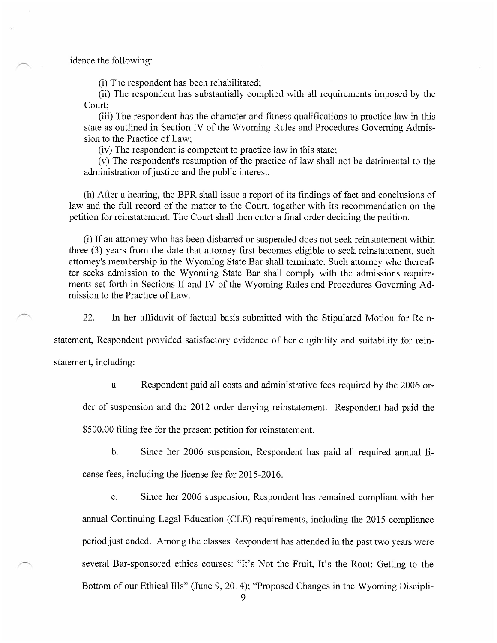idence the following:

(i) The respondent has been rehabilitated;

(ii) The respondent has substantially complied with all requirements imposed by the Court:

(iii) The respondent has the character and fitness qualifications to practice law in this state as outlined in Section IV of the Wyoming Rules and Procedures Governing Admission to the Practice of Law;

(iv) The respondent is competent to practice law in this state;

(v) The respondent's resumption of the practice of law shall not be detrimental to the administration of justice and the public interest.

(h) After a hearing, the BPR shall issue a report of its findings of fact and conclusions of law and the full record of the matter to the Court, together with its recommendation on the petition for reinstatement. The Court shall then enter a final order deciding the petition.

(i) If an attorney who has been disbarred or suspended does not seek reinstatement within three (3) years from the date that attorney first becomes eligible to seek reinstatement, such attorney's membership in the Wyoming State Bar shall terminate. Such attorney who thereafter seeks admission to the Wyoming State Bar shall comply with the admissions requirements set forth in Sections II and IV of the Wyoming Rules and Procedures Governing Admission to the Practice of Law.

22. In her affidavit of factual basis submitted with the Stipulated Motion for Rein-

statement, Respondent provided satisfactory evidence of her eligibility and suitability for rein-

statement, including:

Respondent paid all costs and administrative fees required by the 2006 ora.

der of suspension and the 2012 order denying reinstatement. Respondent had paid the

\$500.00 filing fee for the present petition for reinstatement.

 $<sub>b</sub>$ .</sub> Since her 2006 suspension, Respondent has paid all required annual li-

cense fees, including the license fee for 2015-2016.

 $\mathbf{c}$ . Since her 2006 suspension, Respondent has remained compliant with her annual Continuing Legal Education (CLE) requirements, including the 2015 compliance period just ended. Among the classes Respondent has attended in the past two years were several Bar-sponsored ethics courses: "It's Not the Fruit, It's the Root: Getting to the Bottom of our Ethical Ills" (June 9, 2014); "Proposed Changes in the Wyoming Discipli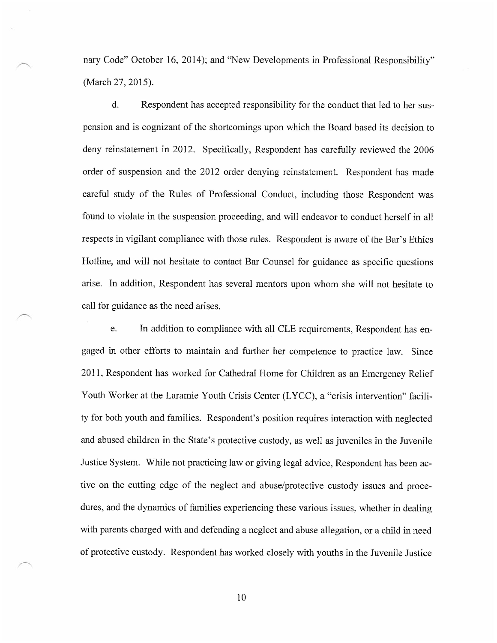nary Code" October 16, 2014); and "New Developments in Professional Responsibility" (March 27, 2015).

 $\mathbf{d}$ . Respondent has accepted responsibility for the conduct that led to her suspension and is cognizant of the shortcomings upon which the Board based its decision to deny reinstatement in 2012. Specifically, Respondent has carefully reviewed the 2006 order of suspension and the 2012 order denying reinstatement. Respondent has made careful study of the Rules of Professional Conduct, including those Respondent was found to violate in the suspension proceeding, and will endeavor to conduct herself in all respects in vigilant compliance with those rules. Respondent is aware of the Bar's Ethics Hotline, and will not hesitate to contact Bar Counsel for guidance as specific questions arise. In addition, Respondent has several mentors upon whom she will not hesitate to call for guidance as the need arises.

e. In addition to compliance with all CLE requirements, Respondent has engaged in other efforts to maintain and further her competence to practice law. Since 2011, Respondent has worked for Cathedral Home for Children as an Emergency Relief Youth Worker at the Laramie Youth Crisis Center (LYCC), a "crisis intervention" facility for both youth and families. Respondent's position requires interaction with neglected and abused children in the State's protective custody, as well as juveniles in the Juvenile Justice System. While not practicing law or giving legal advice, Respondent has been active on the cutting edge of the neglect and abuse/protective custody issues and procedures, and the dynamics of families experiencing these various issues, whether in dealing with parents charged with and defending a neglect and abuse allegation, or a child in need of protective custody. Respondent has worked closely with youths in the Juvenile Justice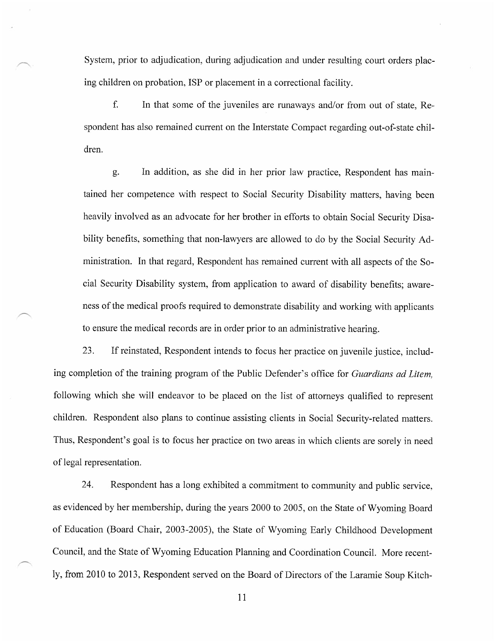System, prior to adjudication, during adjudication and under resulting court orders placing children on probation, ISP or placement in a correctional facility.

f. In that some of the juveniles are runaways and/or from out of state, Respondent has also remained current on the Interstate Compact regarding out-of-state children.

In addition, as she did in her prior law practice, Respondent has maing. tained her competence with respect to Social Security Disability matters, having been heavily involved as an advocate for her brother in efforts to obtain Social Security Disability benefits, something that non-lawyers are allowed to do by the Social Security Administration. In that regard, Respondent has remained current with all aspects of the Social Security Disability system, from application to award of disability benefits; awareness of the medical proofs required to demonstrate disability and working with applicants to ensure the medical records are in order prior to an administrative hearing.

23. If reinstated, Respondent intends to focus her practice on juvenile justice, including completion of the training program of the Public Defender's office for *Guardians ad Litem*. following which she will endeavor to be placed on the list of attorneys qualified to represent children. Respondent also plans to continue assisting clients in Social Security-related matters. Thus, Respondent's goal is to focus her practice on two areas in which clients are sorely in need of legal representation.

24. Respondent has a long exhibited a commitment to community and public service, as evidenced by her membership, during the years 2000 to 2005, on the State of Wyoming Board of Education (Board Chair, 2003-2005), the State of Wyoming Early Childhood Development Council, and the State of Wyoming Education Planning and Coordination Council. More recently, from 2010 to 2013, Respondent served on the Board of Directors of the Laramie Soup Kitch-